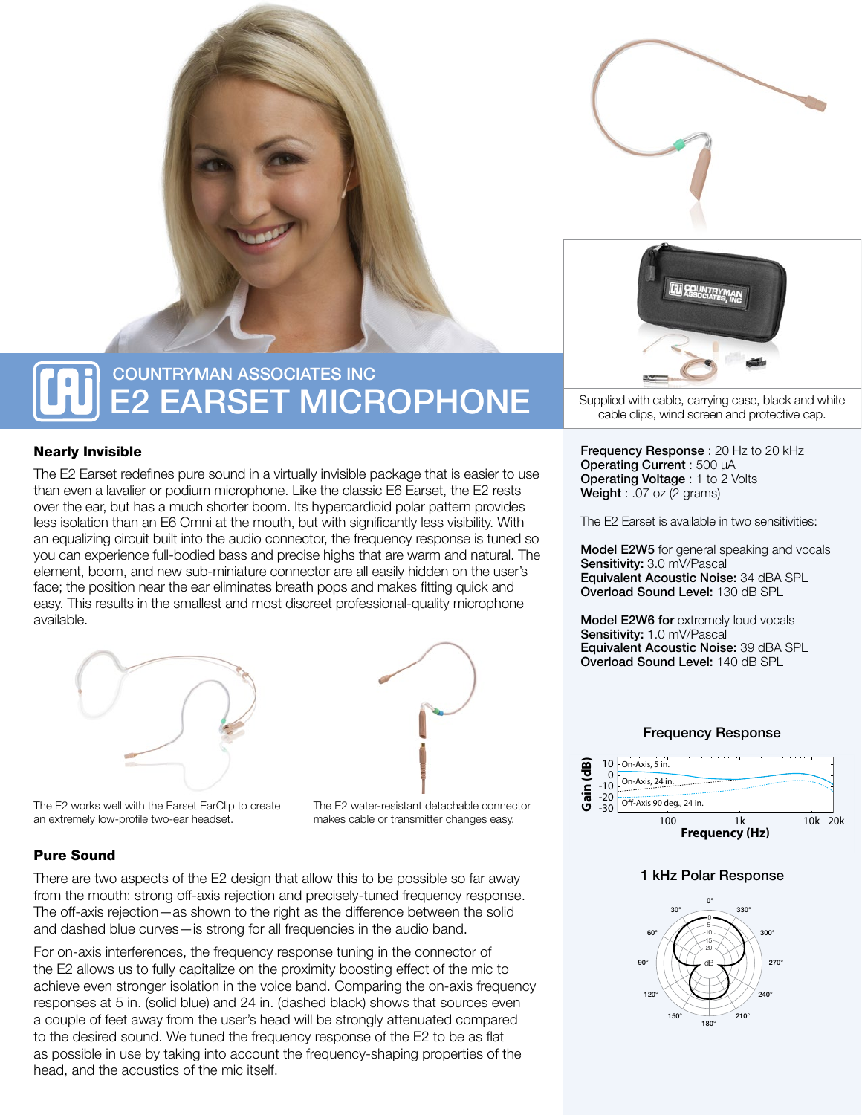

# COUNTRYMAN ASSOCIATES INC E2 EARSET MICROPHONE

### Nearly Invisible

The E2 Earset redefines pure sound in a virtually invisible package that is easier to use than even a lavalier or podium microphone. Like the classic E6 Earset, the E2 rests over the ear, but has a much shorter boom. Its hypercardioid polar pattern provides less isolation than an E6 Omni at the mouth, but with significantly less visibility. With an equalizing circuit built into the audio connector, the frequency response is tuned so you can experience full-bodied bass and precise highs that are warm and natural. The element, boom, and new sub-miniature connector are all easily hidden on the user's face; the position near the ear eliminates breath pops and makes fitting quick and easy. This results in the smallest and most discreet professional-quality microphone available.





The E2 works well with the Earset EarClip to create an extremely low-profile two-ear headset.

The E2 water-resistant detachable connector makes cable or transmitter changes easy.

### Pure Sound

There are two aspects of the E2 design that allow this to be possible so far away from the mouth: strong off-axis rejection and precisely-tuned frequency response. The off-axis rejection—as shown to the right as the difference between the solid and dashed blue curves—is strong for all frequencies in the audio band.

For on-axis interferences, the frequency response tuning in the connector of the E2 allows us to fully capitalize on the proximity boosting effect of the mic to achieve even stronger isolation in the voice band. Comparing the on-axis frequency responses at 5 in. (solid blue) and 24 in. (dashed black) shows that sources even a couple of feet away from the user's head will be strongly attenuated compared to the desired sound. We tuned the frequency response of the E2 to be as flat as possible in use by taking into account the frequency-shaping properties of the head, and the acoustics of the mic itself.



Supplied with cable, carrying case, black and white cable clips, wind screen and protective cap.

Frequency Response : 20 Hz to 20 kHz Operating Current : 500 µA Operating Voltage : 1 to 2 Volts Weight : .07 oz (2 grams)

The E2 Earset is available in two sensitivities:

Model E2W5 for general speaking and vocals Sensitivity: 3.0 mV/Pascal Equivalent Acoustic Noise: 34 dBA SPL Overload Sound Level: 130 dB SPL

Model E2W6 for extremely loud vocals Sensitivity: 1.0 mV/Pascal Equivalent Acoustic Noise: 39 dBA SPL Overload Sound Level: 140 dB SPL

#### Frequency Response



### 1 kHz Polar Response